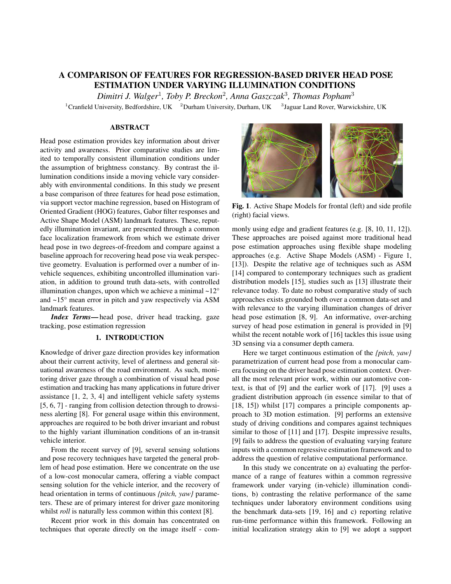# A COMPARISON OF FEATURES FOR REGRESSION-BASED DRIVER HEAD POSE ESTIMATION UNDER VARYING ILLUMINATION CONDITIONS

*Dimitri J. Walger*<sup>1</sup> *, Toby P. Breckon*<sup>2</sup> *, Anna Gaszczak*<sup>3</sup> *, Thomas Popham*<sup>3</sup>

<sup>1</sup>Cranfield University, Bedfordshire, UK  $^{-2}$ Durham University, Durham, UK  $^{-3}$ Jaguar Land Rover, Warwickshire, UK

## ABSTRACT

Head pose estimation provides key information about driver activity and awareness. Prior comparative studies are limited to temporally consistent illumination conditions under the assumption of brightness constancy. By contrast the illumination conditions inside a moving vehicle vary considerably with environmental conditions. In this study we present a base comparison of three features for head pose estimation, via support vector machine regression, based on Histogram of Oriented Gradient (HOG) features, Gabor filter responses and Active Shape Model (ASM) landmark features. These, reputedly illumination invariant, are presented through a common face localization framework from which we estimate driver head pose in two degrees-of-freedom and compare against a baseline approach for recovering head pose via weak perspective geometry. Evaluation is performed over a number of invehicle sequences, exhibiting uncontrolled illumination variation, in addition to ground truth data-sets, with controlled illumination changes, upon which we achieve a minimal  $\sim$ 12 $\degree$ and ~15° mean error in pitch and yaw respectively via ASM landmark features.

*Index Terms*—head pose, driver head tracking, gaze tracking, pose estimation regression

## 1. INTRODUCTION

Knowledge of driver gaze direction provides key information about their current activity, level of alertness and general situational awareness of the road environment. As such, monitoring driver gaze through a combination of visual head pose estimation and tracking has many applications in future driver assistance [1, 2, 3, 4] and intelligent vehicle safety systems [5, 6, 7] - ranging from collision detection through to drowsiness alerting [8]. For general usage within this environment, approaches are required to be both driver invariant and robust to the highly variant illumination conditions of an in-transit vehicle interior.

From the recent survey of [9], several sensing solutions and pose recovery techniques have targeted the general problem of head pose estimation. Here we concentrate on the use of a low-cost monocular camera, offering a viable compact sensing solution for the vehicle interior, and the recovery of head orientation in terms of continuous *{pitch, yaw}* parameters. These are of primary interest for driver gaze monitoring whilst *roll* is naturally less common within this context [8].

Recent prior work in this domain has concentrated on techniques that operate directly on the image itself - com-



Fig. 1. Active Shape Models for frontal (left) and side profile (right) facial views.

monly using edge and gradient features (e.g. [8, 10, 11, 12]). These approaches are poised against more traditional head pose estimation approaches using flexible shape modeling approaches (e.g. Active Shape Models (ASM) - Figure 1, [13]). Despite the relative age of techniques such as ASM [14] compared to contemporary techniques such as gradient distribution models [15], studies such as [13] illustrate their relevance today. To date no robust comparative study of such approaches exists grounded both over a common data-set and with relevance to the varying illumination changes of driver head pose estimation [8, 9]. An informative, over-arching survey of head pose estimation in general is provided in [9] whilst the recent notable work of [16] tackles this issue using 3D sensing via a consumer depth camera.

Here we target continuous estimation of the *{pitch, yaw}* parametrization of current head pose from a monocular camera focusing on the driver head pose estimation context. Overall the most relevant prior work, within our automotive context, is that of [9] and the earlier work of [17]. [9] uses a gradient distribution approach (in essence similar to that of [18, 15]) whilst [17] compares a principle components approach to 3D motion estimation. [9] performs an extensive study of driving conditions and compares against techniques similar to those of [11] and [17]. Despite impressive results, [9] fails to address the question of evaluating varying feature inputs with a common regressive estimation framework and to address the question of relative computational performance.

In this study we concentrate on a) evaluating the performance of a range of features within a common regressive framework under varying (in-vehicle) illumination conditions, b) contrasting the relative performance of the same techniques under laboratory environment conditions using the benchmark data-sets [19, 16] and c) reporting relative run-time performance within this framework. Following an initial localization strategy akin to [9] we adopt a support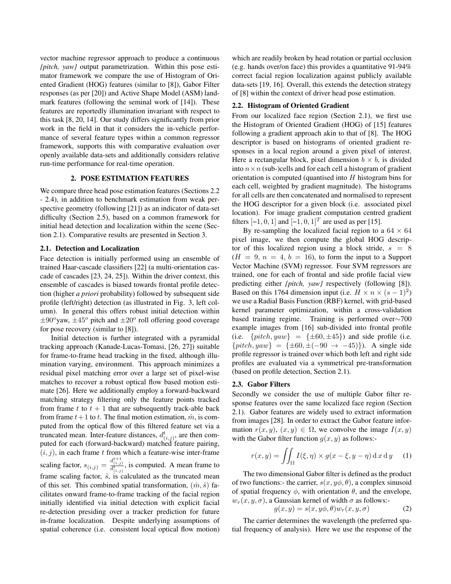vector machine regressor approach to produce a continuous *{pitch, yaw}* output parametrization. Within this pose estimator framework we compare the use of Histogram of Oriented Gradient (HOG) features (similar to [8]), Gabor Filter responses (as per [20]) and Active Shape Model (ASM) landmark features (following the seminal work of [14]). These features are reportedly illumination invariant with respect to this task [8, 20, 14]. Our study differs significantly from prior work in the field in that it considers the in-vehicle performance of several feature types within a common regressor framework, supports this with comparative evaluation over openly available data-sets and additionally considers relative run-time performance for real-time operation.

## 2. POSE ESTIMATION FEATURES

We compare three head pose estimation features (Sections 2.2 - 2.4), in addition to benchmark estimation from weak perspective geometry (following [21]) as an indicator of data-set difficulty (Section 2.5), based on a common framework for initial head detection and localization within the scene (Section 2.1). Comparative results are presented in Section 3.

#### 2.1. Detection and Localization

Face detection is initially performed using an ensemble of trained Haar-cascade classifiers [22] (a multi-orientation cascade of cascades [23, 24, 25]). Within the driver context, this ensemble of cascades is biased towards frontal profile detection (higher *a priori* probability) followed by subsequent side profile (left/right) detection (as illustrated in Fig. 3, left column). In general this offers robust initial detection within  $\pm 90^{\circ}$ yaw,  $\pm 45^{\circ}$  pitch and  $\pm 20^{\circ}$  roll offering good coverage for pose recovery (similar to [8]).

Initial detection is further integrated with a pyramidal tracking approach (Kanade-Lucas-Tomasi, [26, 27]) suitable for frame-to-frame head tracking in the fixed, although illumination varying, environment. This approach minimizes a residual pixel matching error over a large set of pixel-wise matches to recover a robust optical flow based motion estimate [26]. Here we additionally employ a forward-backward matching strategy filtering only the feature points tracked from frame t to  $t + 1$  that are subsequently track-able back from frame  $t+1$  to t. The final motion estimation,  $\hat{m}$ , is computed from the optical flow of this filtered feature set via a truncated mean. Inter-feature distances,  $d_{(i,j)}^t$ , are then computed for each (forward-backward) matched feature pairing,  $(i, j)$ , in each frame t from which a feature-wise inter-frame scaling factor,  $s_{(i,j)} = \frac{d_{(i,j)}^{t+1}}{d_{(i,j)}^t}$ , is computed. A mean frame to frame scaling factor,  $\hat{s}$ , is calculated as the truncated mean of this set. This combined spatial transformation,  $(\hat{m}, \hat{s})$  facilitates onward frame-to-frame tracking of the facial region initially identified via initial detection with explicit facial re-detection presiding over a tracker prediction for future in-frame localization. Despite underlying assumptions of spatial coherence (i.e. consistent local optical flow motion)

which are readily broken by head rotation or partial occlusion (e.g. hands over/on face) this provides a quantitative 91-94% correct facial region localization against publicly available data-sets [19, 16]. Overall, this extends the detection strategy of [8] within the context of driver head pose estimation.

## 2.2. Histogram of Oriented Gradient

From our localized face region (Section 2.1), we first use the Histogram of Oriented Gradient (HOG) of [15] features following a gradient approach akin to that of [8]. The HOG descriptor is based on histograms of oriented gradient responses in a local region around a given pixel of interest. Here a rectangular block, pixel dimension  $b \times b$ , is divided into  $n \times n$  (sub-)cells and for each cell a histogram of gradient orientation is computed (quantised into  $H$  histogram bins for each cell, weighted by gradient magnitude). The histograms for all cells are then concatenated and normalised to represent the HOG descriptor for a given block (i.e. associated pixel location). For image gradient computation centred gradient filters  $[-1, 0, 1]$  and  $[-1, 0, 1]^T$  are used as per [15].

By re-sampling the localized facial region to a  $64 \times 64$ pixel image, we then compute the global HOG descriptor of this localized region using a block stride,  $s = 8$  $(H = 9, n = 4, b = 16)$ , to form the input to a Support Vector Machine (SVM) regressor. Four SVM regressors are trained, one for each of frontal and side profile facial view predicting either *{pitch, yaw}* respectively (following [8]). Based on this 1764 dimension input (i.e.  $H \times n \times (s-1)^2$ ) we use a Radial Basis Function (RBF) kernel, with grid-based kernel parameter optimization, within a cross-validation based training regime. Training is performed over∼700 example images from [16] sub-divided into frontal profile (i.e.  $\{pitch, yaw\} = \{\pm 60, \pm 45\}$ ) and side profile (i.e.  $\{pitch, yaw\} = \{\pm 60, \pm (-90 \rightarrow -45)\}\.$  A single side profile regressor is trained over which both left and right side profiles are evaluated via a symmetrical pre-transformation (based on profile detection, Section 2.1).

#### 2.3. Gabor Filters

Secondly we consider the use of multiple Gabor filter response features over the same localized face region (Section 2.1). Gabor features are widely used to extract information from images [28]. In order to extract the Gabor feature information  $r(x, y)$ ,  $(x, y) \in \Omega$ , we convolve the image  $I(x, y)$ with the Gabor filter function  $g(x, y)$  as follows:-

$$
r(x,y) = \iint_{\Omega} I(\xi, \eta) \times g(x - \xi, y - \eta) \, dx \, dy \qquad (1)
$$

The two dimensional Gabor filter is defined as the product of two functions:- the carrier,  $s(x, y\phi, \theta)$ , a complex sinusoid of spatial frequency  $\phi$ , with orientation  $\theta$ , and the envelope,  $w_r(x, y, \sigma)$ , a Gaussian kernel of width  $\sigma$  as follows:-

$$
g(x, y) = s(x, y\phi, \theta)w_r(x, y, \sigma) \tag{2}
$$

The carrier determines the wavelength (the preferred spatial frequency of analysis). Here we use the response of the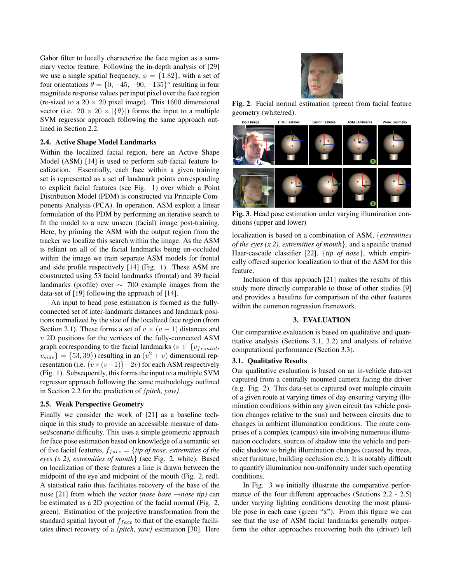Gabor filter to locally characterize the face region as a summary vector feature. Following the in-depth analysis of [29] we use a single spatial frequency,  $\phi = \{1.82\}$ , with a set of four orientations  $\theta = \{0, -45, -90, -135\}$ <sup>o</sup> resulting in four magnitude response values per input pixel over the face region (re-sized to a  $20 \times 20$  pixel image). This 1600 dimensional vector (i.e.  $20 \times 20 \times |\{\theta\}|$ ) forms the input to a multiple SVM regressor approach following the same approach outlined in Section 2.2.

## 2.4. Active Shape Model Landmarks

Within the localized facial region, here an Active Shape Model (ASM) [14] is used to perform sub-facial feature localization. Essentially, each face within a given training set is represented as a set of landmark points corresponding to explicit facial features (see Fig. 1) over which a Point Distribution Model (PDM) is constructed via Principle Components Analysis (PCA). In operation, ASM exploit a linear formulation of the PDM by performing an iterative search to fit the model to a new unseen (facial) image post-training. Here, by priming the ASM with the output region from the tracker we localize this search within the image. As the ASM is reliant on all of the facial landmarks being un-occluded within the image we train separate ASM models for frontal and side profile respectively [14] (Fig. 1). These ASM are constructed using 53 facial landmarks (frontal) and 39 facial landmarks (profile) over ∼ 700 example images from the data-set of [19] following the approach of [14].

An input to head pose estimation is formed as the fullyconnected set of inter-landmark distances and landmark positions normalized by the size of the localized face region (from Section 2.1). These forms a set of  $v \times (v - 1)$  distances and v 2D positions for the vertices of the fully-connected ASM graph corresponding to the facial landmarks ( $v \in \{v_{frontal},\}$  $v_{side}$ } = {53, 39}) resulting in an  $(v^2 + v)$  dimensional representation (i.e.  $(v \times (v-1))+2v$ ) for each ASM respectively (Fig. 1). Subsequently, this forms the input to a multiple SVM regressor approach following the same methodology outlined in Section 2.2 for the prediction of *{pitch, yaw}*.

#### 2.5. Weak Perspective Geometry

Finally we consider the work of [21] as a baseline technique in this study to provide an accessible measure of dataset/scenario difficulty. This uses a simple geometric approach for face pose estimation based on knowledge of a semantic set of five facial features, fface = {*tip of nose, extremities of the eyes (x 2), extremities of mouth*} (see Fig. 2, white). Based on localization of these features a line is drawn between the midpoint of the eye and midpoint of the mouth (Fig. 2, red). A statistical ratio thus facilitates recovery of the base of the nose [21] from which the vector *(nose base*  $\rightarrow$ *nose tip)* can be estimated as a 2D projection of the facial normal (Fig. 2, green). Estimation of the projective transformation from the standard spatial layout of  $f_{face}$  to that of the example facilitates direct recovery of a *{pitch, yaw}* estimation [30]. Here



Fig. 2. Facial normal estimation (green) from facial feature geometry (white/red).



Fig. 3. Head pose estimation under varying illumination conditions (upper and lower)

localization is based on a combination of ASM, {*extremities of the eyes (x 2), extremities of mouth*}*,* and a specific trained Haar-cascade classifier [22], {*tip of nose*}, which empirically offered superior localization to that of the ASM for this feature.

Inclusion of this approach [21] makes the results of this study more directly comparable to those of other studies [9] and provides a baseline for comparison of the other features within the common regression framework.

## 3. EVALUATION

Our comparative evaluation is based on qualitative and quantitative analysis (Sections 3.1, 3.2) and analysis of relative computational performance (Section 3.3).

## 3.1. Qualitative Results

Our qualitative evaluation is based on an in-vehicle data-set captured from a centrally mounted camera facing the driver (e.g. Fig. 2). This data-set is captured over multiple circuits of a given route at varying times of day ensuring varying illumination conditions within any given circuit (as vehicle position changes relative to the sun) and between circuits due to changes in ambient illumination conditions. The route comprises of a complex (campus) site involving numerous illumination occluders, sources of shadow into the vehicle and periodic shadow to bright illumination changes (caused by trees, street furniture, building occlusion etc.). It is notably difficult to quantify illumination non-uniformity under such operating conditions.

In Fig. 3 we initially illustrate the comparative performance of the four different approaches (Sections 2.2 - 2.5) under varying lighting conditions denoting the most plausible pose in each case (green "x"). From this figure we can see that the use of ASM facial landmarks generally outperform the other approaches recovering both the (driver) left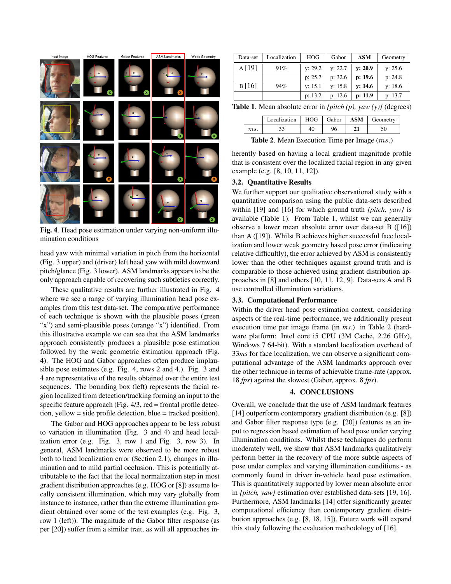

Fig. 4. Head pose estimation under varying non-uniform illumination conditions

head yaw with minimal variation in pitch from the horizontal (Fig. 3 upper) and (driver) left head yaw with mild downward pitch/glance (Fig. 3 lower). ASM landmarks appears to be the only approach capable of recovering such subtleties correctly.

These qualitative results are further illustrated in Fig. 4 where we see a range of varying illumination head pose examples from this test data-set. The comparative performance of each technique is shown with the plausible poses (green "x") and semi-plausible poses (orange "x") identified. From this illustrative example we can see that the ASM landmarks approach consistently produces a plausible pose estimation followed by the weak geometric estimation approach (Fig. 4). The HOG and Gabor approaches often produce implausible pose estimates (e.g. Fig. 4, rows 2 and 4.). Fig. 3 and 4 are representative of the results obtained over the entire test sequences. The bounding box (left) represents the facial region localized from detection/tracking forming an input to the specific feature approach (Fig. 4/3, red = frontal profile detection, yellow = side profile detection, blue = tracked position).

The Gabor and HOG approaches appear to be less robust to variation in illumination (Fig. 3 and 4) and head localization error (e.g. Fig. 3, row 1 and Fig. 3, row 3). In general, ASM landmarks were observed to be more robust both to head localization error (Section 2.1), changes in illumination and to mild partial occlusion. This is potentially attributable to the fact that the local normalization step in most gradient distribution approaches (e.g. HOG or [8]) assume locally consistent illumination, which may vary globally from instance to instance, rather than the extreme illumination gradient obtained over some of the test examples (e.g. Fig. 3, row 1 (left)). The magnitude of the Gabor filter response (as per [20]) suffer from a similar trait, as will all approaches in-

| Data-set | Localization | <b>HOG</b> | Gabor     | ASM     | Geometry |
|----------|--------------|------------|-----------|---------|----------|
| A[19]    | 91%          | y: 29.2    | y: 22.7   | v: 20.9 | y: 25.6  |
|          |              | p: 25.7    | p: 32.6   | p: 19.6 | p: 24.8  |
| B[16]    | 94%          | v: 15.1    | v: 15.8   | v: 14.6 | y: 18.6  |
|          |              | p: $13.2$  | p: $12.6$ | p: 11.9 | p: 13.7  |

Table 1. Mean absolute error in *{pitch (p), yaw (y)}* (degrees)

|     | Localization | HOG | Gabor | <b>ASM</b> | Geometry |
|-----|--------------|-----|-------|------------|----------|
| ms. |              |     |       |            |          |

Table 2. Mean Execution Time per Image (ms.)

herently based on having a local gradient magnitude profile that is consistent over the localized facial region in any given example (e.g. [8, 10, 11, 12]).

## 3.2. Quantitative Results

We further support our qualitative observational study with a quantitative comparison using the public data-sets described within [19] and [16] for which ground truth *{pitch, yaw}* is available (Table 1). From Table 1, whilst we can generally observe a lower mean absolute error over data-set B ([16]) than A ([19]). Whilst B achieves higher successful face localization and lower weak geometry based pose error (indicating relative difficultly), the error achieved by ASM is consistently lower than the other techniques against ground truth and is comparable to those achieved using gradient distribution approaches in [8] and others [10, 11, 12, 9]. Data-sets A and B use controlled illumination variations.

### 3.3. Computational Performance

Within the driver head pose estimation context, considering aspects of the real-time performance, we additionally present execution time per image frame (in *ms.*) in Table 2 (hardware platform: Intel core i5 CPU (3M Cache, 2.26 GHz), Windows 7 64-bit). With a standard localization overhead of 33*ms* for face localization, we can observe a significant computational advantage of the ASM landmarks approach over the other technique in terms of achievable frame-rate (approx. 18 *fps*) against the slowest (Gabor, approx. 8 *fps*).

### 4. CONCLUSIONS

Overall, we conclude that the use of ASM landmark features [14] outperform contemporary gradient distribution (e.g. [8]) and Gabor filter response type (e.g. [20]) features as an input to regression based estimation of head pose under varying illumination conditions. Whilst these techniques do perform moderately well, we show that ASM landmarks qualitatively perform better in the recovery of the more subtle aspects of pose under complex and varying illumination conditions - as commonly found in driver in-vehicle head pose estimation. This is quantitatively supported by lower mean absolute error in *{pitch, yaw}* estimation over established data-sets [19, 16]. Furthermore, ASM landmarks [14] offer significantly greater computational efficiency than contemporary gradient distribution approaches (e.g. [8, 18, 15]). Future work will expand this study following the evaluation methodology of [16].